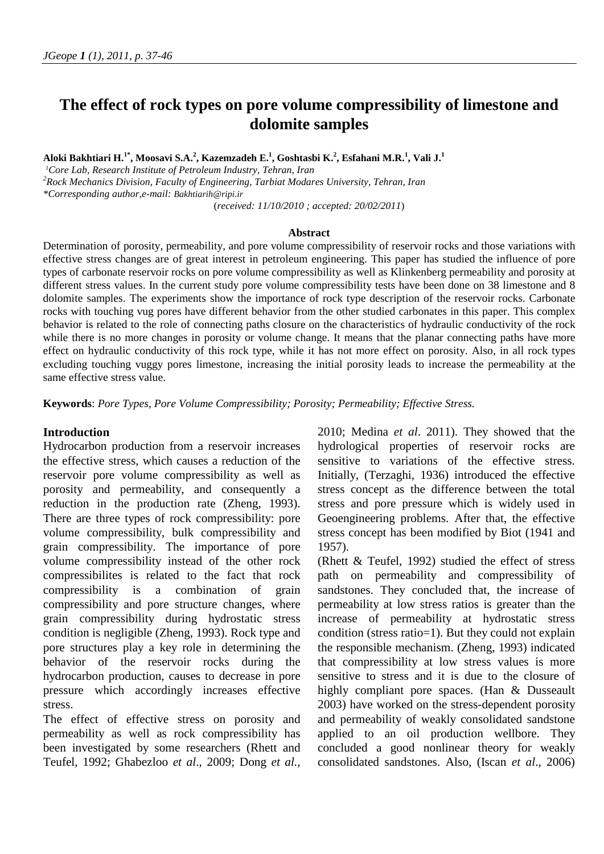# **The effect of rock types on pore volume compressibility of limestone and dolomite samples**

**Aloki Bakhtiari H.1\* , Moosavi S.A.<sup>2</sup> , Kazemzadeh E.<sup>1</sup> , Goshtasbi K.<sup>2</sup> , Esfahani M.R.<sup>1</sup> , Vali J.<sup>1</sup>**

*1 Core Lab, Research Institute of Petroleum Industry, Tehran, Iran*

*2 Rock Mechanics Division, Faculty of Engineering, Tarbiat Modares University, Tehran, Iran*

*\*Corresponding author,e-mail: Bakhtiarih@ripi.ir*

(*received: 11/10/2010 ; accepted: 20/02/2011*)

#### **Abstract**

Determination of porosity, permeability, and pore volume compressibility of reservoir rocks and those variations with effective stress changes are of great interest in petroleum engineering. This paper has studied the influence of pore types of carbonate reservoir rocks on pore volume compressibility as well as Klinkenberg permeability and porosity at different stress values. In the current study pore volume compressibility tests have been done on 38 limestone and 8 dolomite samples. The experiments show the importance of rock type description of the reservoir rocks. Carbonate rocks with touching vug pores have different behavior from the other studied carbonates in this paper. This complex behavior is related to the role of connecting paths closure on the characteristics of hydraulic conductivity of the rock while there is no more changes in porosity or volume change. It means that the planar connecting paths have more effect on hydraulic conductivity of this rock type, while it has not more effect on porosity. Also, in all rock types excluding touching vuggy pores limestone, increasing the initial porosity leads to increase the permeability at the same effective stress value.

**Keywords**: *Pore Types, Pore Volume Compressibility; Porosity; Permeability; Effective Stress.*

#### **Introduction**

Hydrocarbon production from a reservoir increases the effective stress, which causes a reduction of the reservoir pore volume compressibility as well as porosity and permeability, and consequently a reduction in the production rate (Zheng, 1993). There are three types of rock compressibility: pore volume compressibility, bulk compressibility and grain compressibility. The importance of pore volume compressibility instead of the other rock compressibilites is related to the fact that rock compressibility is a combination of grain compressibility and pore structure changes, where grain compressibility during hydrostatic stress condition is negligible (Zheng, 1993). Rock type and pore structures play a key role in determining the behavior of the reservoir rocks during the hydrocarbon production, causes to decrease in pore pressure which accordingly increases effective stress.

The effect of effective stress on porosity and permeability as well as rock compressibility has been investigated by some researchers (Rhett and Teufel, 1992; Ghabezloo *et al*., 2009; Dong *et al.,* 2010; Medina *et al*. 2011). They showed that the hydrological properties of reservoir rocks are sensitive to variations of the effective stress. Initially, (Terzaghi, 1936) introduced the effective stress concept as the difference between the total stress and pore pressure which is widely used in Geoengineering problems. After that, the effective stress concept has been modified by Biot (1941 and 1957).

(Rhett & Teufel, 1992) studied the effect of stress path on permeability and compressibility of sandstones. They concluded that, the increase of permeability at low stress ratios is greater than the increase of permeability at hydrostatic stress condition (stress ratio=1). But they could not explain the responsible mechanism. (Zheng, 1993) indicated that compressibility at low stress values is more sensitive to stress and it is due to the closure of highly compliant pore spaces. (Han & Dusseault 2003) have worked on the stress-dependent porosity and permeability of weakly consolidated sandstone applied to an oil production wellbore. They concluded a good nonlinear theory for weakly consolidated sandstones. Also, (Iscan *et al*., 2006)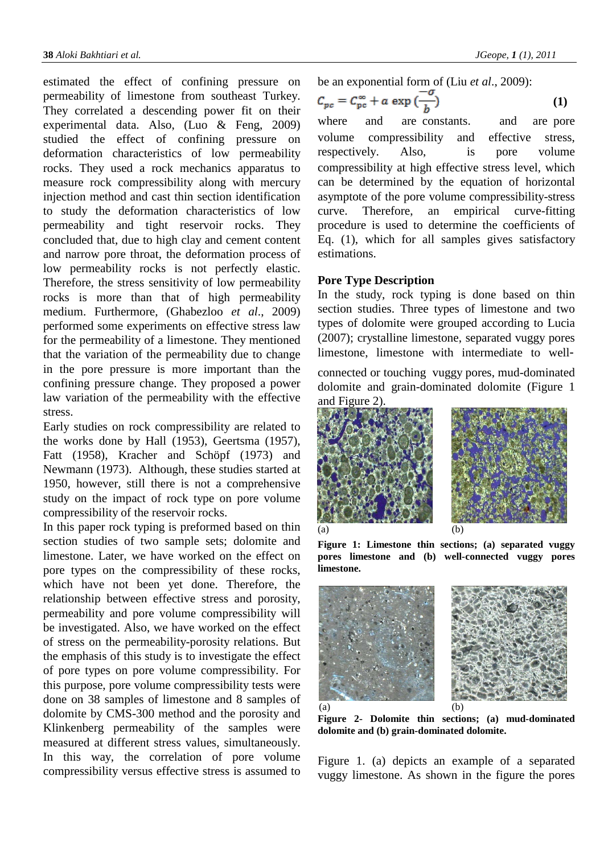estimated the effect of confining pressure on permeability of limestone from southeast Turkey. They correlated a descending power fit on their experimental data. Also, (Luo & Feng, 2009) studied the effect of confining pressure on deformation characteristics of low permeability rocks. They used a rock mechanics apparatus to measure rock compressibility along with mercury injection method and cast thin section identification to study the deformation characteristics of low permeability and tight reservoir rocks. They concluded that, due to high clay and cement content and narrow pore throat, the deformation process of low permeability rocks is not perfectly elastic. Therefore, the stress sensitivity of low permeability rocks is more than that of high permeability medium. Furthermore, (Ghabezloo *et al*., 2009) performed some experiments on effective stress law for the permeability of a limestone. They mentioned that the variation of the permeability due to change in the pore pressure is more important than the confining pressure change. They proposed a power law variation of the permeability with the effective stress.

Early studies on rock compressibility are related to the works done by Hall (1953), Geertsma (1957), Fatt (1958), Kracher and Schöpf (1973) and Newmann (1973). Although, these studies started at 1950, however, still there is not a comprehensive study on the impact of rock type on pore volume compressibility of the reservoir rocks.

In this paper rock typing is preformed based on thin section studies of two sample sets; dolomite and limestone. Later, we have worked on the effect on pore types on the compressibility of these rocks, which have not been yet done. Therefore, the relationship between effective stress and porosity, permeability and pore volume compressibility will be investigated. Also, we have worked on the effect of stress on the permeability-porosity relations. But the emphasis of this study is to investigate the effect of pore types on pore volume compressibility. For this purpose, pore volume compressibility tests were done on 38 samples of limestone and 8 samples of dolomite by CMS-300 method and the porosity and Klinkenberg permeability of the samples were measured at different stress values, simultaneously. In this way, the correlation of pore volume compressibility versus effective stress is assumed to be an exponential form of (Liu *et al*., 2009):

<span id="page-1-0"></span>
$$
C_{pc} = C_{pc}^{\infty} + a \exp\left(\frac{b}{b}\right) \tag{1}
$$

where and are constants. and are pore volume compressibility and effective stress, respectively. Also, is pore volume compressibility at high effective stress level, which can be determined by the equation of horizontal asymptote of the pore volume compressibility-stress curve. Therefore, an empirical curve-fitting procedure is used to determine the coefficients of Eq. [\(1\),](#page-1-0) which for all samples gives satisfactory estimations.

## **Pore Type Description**

In the study, rock typing is done based on thin section studies. Three types of limestone and two types of dolomite were grouped according to Lucia (2007); crystalline limestone, separated vuggy pores limestone, limestone with intermediate to well-

connected or touching vuggy pores, mud-dominated dolomite and grain-dominated dolomite [\(Figure 1](#page-1-1) and [Figure 2\)](#page-1-2).



<span id="page-1-1"></span>

**Figure 1: Limestone thin sections; (a) separated vuggy pores limestone and (b) well-connected vuggy pores limestone.**



**Figure 2- Dolomite thin sections; (a) mud-dominated dolomite and (b) grain-dominated dolomite.** 

<span id="page-1-2"></span>[Figure 1.](#page-1-1) (a) depicts an example of a separated vuggy limestone. As shown in the figure the pores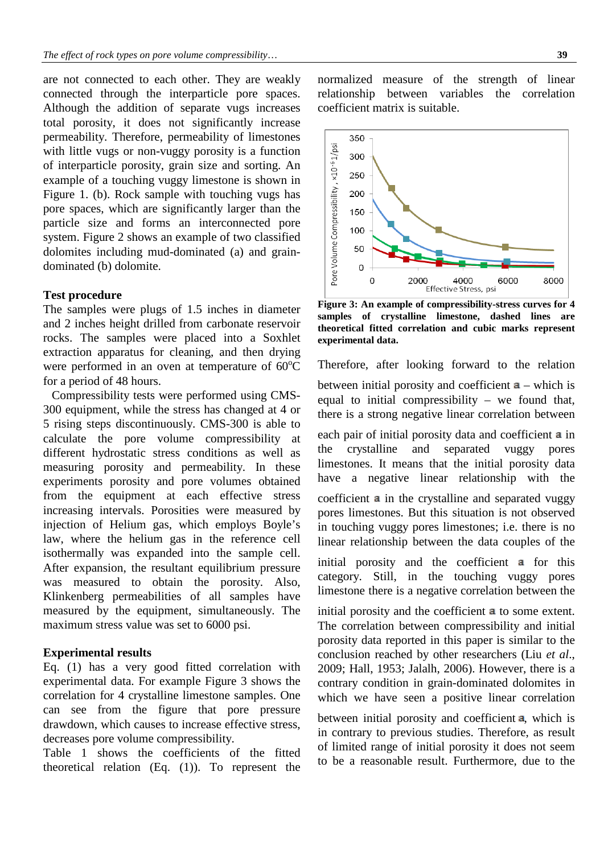are not connected to each other. They are weakly connected through the interparticle pore spaces. Although the addition of separate vugs increases total porosity, it does not significantly increase permeability. Therefore, permeability of limestones with little vugs or non-vuggy porosity is a function of interparticle porosity, grain size and sorting. An example of a touching vuggy limestone is shown in [Figure 1.](#page-1-1) (b). Rock sample with touching vugs has pore spaces, which are significantly larger than the particle size and forms an interconnected pore system. [Figure 2](#page-1-2) shows an example of two classified dolomites including mud-dominated (a) and graindominated (b) dolomite.

#### **Test procedure**

The samples were plugs of 1.5 inches in diameter and 2 inches height drilled from carbonate reservoir rocks. The samples were placed into a Soxhlet extraction apparatus for cleaning, and then drying were performed in an oven at temperature of  $60^{\circ}$ C for a period of 48 hours.

Compressibility tests were performed using CMS-300 equipment, while the stress has changed at 4 or 5 rising steps discontinuously. CMS-300 is able to calculate the pore volume compressibility at different hydrostatic stress conditions as well as measuring porosity and permeability. In these experiments porosity and pore volumes obtained from the equipment at each effective stress increasing intervals. Porosities were measured by injection of Helium gas, which employs Boyle's law, where the helium gas in the reference cell isothermally was expanded into the sample cell. After expansion, the resultant equilibrium pressure was measured to obtain the porosity. Also, Klinkenberg permeabilities of all samples have measured by the equipment, simultaneously. The maximum stress value was set to 6000 psi.

### **Experimental results**

Eq. [\(1\)](#page-1-0) has a very good fitted correlation with experimental data. For example [Figure 3](#page-2-0) shows the correlation for 4 crystalline limestone samples. One can see from the figure that pore pressure drawdown, which causes to increase effective stress, decreases pore volume compressibility.

[Table](#page-2-1) 1 shows the coefficients of the fitted theoretical relation (Eq. [\(1\)\)](#page-1-0). To represent the

normalized measure of the strength of linear relationship between variables the correlation coefficient matrix is suitable.



<span id="page-2-0"></span>**Figure 3: An example of compressibility-stress curves for 4 samples of crystalline limestone, dashed lines are theoretical fitted correlation and cubic marks represent experimental data.** 

<span id="page-2-1"></span>Therefore, after looking forward to the relation

between initial porosity and coefficient  $a$  – which is equal to initial compressibility – we found that, there is a strong negative linear correlation between

each pair of initial porosity data and coefficient  $\blacksquare$  in the crystalline and separated vuggy pores limestones. It means that the initial porosity data have a negative linear relationship with the

coefficient  $\overline{a}$  in the crystalline and separated vuggy pores limestones. But this situation is not observed in touching vuggy pores limestones; i.e. there is no linear relationship between the data couples of the

initial porosity and the coefficient  $\boldsymbol{a}$  for this category. Still, in the touching vuggy pores limestone there is a negative correlation between the

initial porosity and the coefficient  $\bf{a}$  to some extent. The correlation between compressibility and initial porosity data reported in this paper is similar to the conclusion reached by other researchers (Liu *et al*., 2009; Hall, 1953; Jalalh, 2006). However, there is a contrary condition in grain-dominated dolomites in which we have seen a positive linear correlation

between initial porosity and coefficient  $a$ , which is in contrary to previous studies. Therefore, as result of limited range of initial porosity it does not seem to be a reasonable result. Furthermore, due to the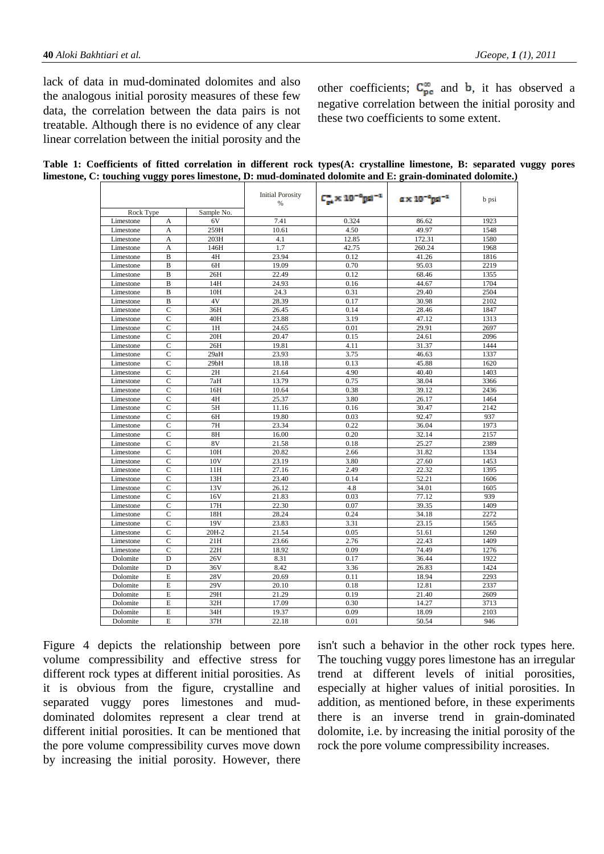lack of data in mud-dominated dolomites and also the analogous initial porosity measures of these few data, the correlation between the data pairs is not treatable. Although there is no evidence of any clear linear correlation between the initial porosity and the

other coefficients;  $C_{pe}^{m}$  and **b**, it has observed a negative correlation between the initial porosity and these two coefficients to some extent.

|  |  |  |  | Table 1: Coefficients of fitted correlation in different rock types(A: crystalline limestone, B: separated vuggy pores |  |
|--|--|--|--|------------------------------------------------------------------------------------------------------------------------|--|
|  |  |  |  | limestone, C: touching vuggy pores limestone, D: mud-dominated dolomite and E: grain-dominated dolomite.)              |  |

|           |                |                 | <b>Initial Porosity</b><br>% | $C_{\rm m}^{\rm s} \times 10^{-6} \rm{ps} \rm{J}^{-1}$ | a x 10 "nd " | b psi |
|-----------|----------------|-----------------|------------------------------|--------------------------------------------------------|--------------|-------|
| Rock Type |                | Sample No.      |                              |                                                        |              |       |
| Limestone | А              | 6V              | 7.41                         | 0.324                                                  | 86.62        | 1923  |
| Limestone | А              | 259H            | 10.61                        | 4.50                                                   | 49.97        | 1548  |
| Limestone | A              | 203H            | 4.1                          | 12.85                                                  | 172.31       | 1580  |
| Limestone | A              | 146H            | 1.7                          | 42.75                                                  | 260.24       | 1968  |
| Limestone | B              | 4H              | 23.94                        | 0.12                                                   | 41.26        | 1816  |
| Limestone | B              | 6H              | 19.09                        | 0.70                                                   | 95.03        | 2219  |
| Limestone | B              | 26H             | 22.49                        | 0.12                                                   | 68.46        | 1355  |
| Limestone | B              | 14H             | 24.93                        | 0.16                                                   | 44.67        | 1704  |
| Limestone | B              | 10H             | 24.3                         | 0.31                                                   | 29.40        | 2504  |
| Limestone | B              | 4V              | 28.39                        | 0.17                                                   | 30.98        | 2102  |
| Limestone | $\mathbf C$    | 36H             | 26.45                        | 0.14                                                   | 28.46        | 1847  |
| Limestone | $\mathbf C$    | 40H             | 23.88                        | 3.19                                                   | 47.12        | 1313  |
| Limestone | $\mathbf C$    | 1H              | 24.65                        | 0.01                                                   | 29.91        | 2697  |
| Limestone | $\mathbf C$    | 20H             | 20.47                        | 0.15                                                   | 24.61        | 2096  |
| Limestone | $\mathbf C$    | 26H             | 19.81                        | 4.11                                                   | 31.37        | 1444  |
| Limestone | $\mathcal{C}$  | 29aH            | 23.93                        | 3.75                                                   | 46.63        | 1337  |
| Limestone | $\mathbf C$    | 29bH            | 18.18                        | 0.13                                                   | 45.88        | 1620  |
| Limestone | $\mathbf C$    | 2H              | 21.64                        | 4.90                                                   | 40.40        | 1403  |
| Limestone | $\mathsf{C}$   | 7aH             | 13.79                        | 0.75                                                   | 38.04        | 3366  |
| Limestone | $\mathbf C$    | 16H             | 10.64                        | 0.38                                                   | 39.12        | 2436  |
| Limestone | $\mathsf{C}$   | 4H              | 25.37                        | 3.80                                                   | 26.17        | 1464  |
| Limestone | $\mathbf C$    | 5H              | 11.16                        | 0.16                                                   | 30.47        | 2142  |
| Limestone | $\mathsf{C}$   | 6H              | 19.80                        | 0.03                                                   | 92.47        | 937   |
| Limestone | $\mathbf C$    | 7H              | 23.34                        | 0.22                                                   | 36.04        | 1973  |
| Limestone | $\mathsf{C}$   | 8H              | 16.00                        | 0.20                                                   | 32.14        | 2157  |
| Limestone | $\mathbf C$    | 8V              | 21.58                        | 0.18                                                   | 25.27        | 2389  |
| Limestone | $\mathsf{C}$   | 10H             | 20.82                        | 2.66                                                   | 31.82        | 1334  |
| Limestone | $\mathbf C$    | 10V             | 23.19                        | 3.80                                                   | 27.60        | 1453  |
| Limestone | $\mathsf{C}$   | 11H             | 27.16                        | 2.49                                                   | 22.32        | 1395  |
| Limestone | $\mathbf C$    | 13H             | 23.40                        | 0.14                                                   | 52.21        | 1606  |
| Limestone | $\mathbf C$    | 13V             | 26.12                        | 4.8                                                    | 34.01        | 1605  |
| Limestone | $\mathbf C$    | 16V             | 21.83                        | 0.03                                                   | 77.12        | 939   |
| Limestone | $\mathbf C$    | 17H             | 22.30                        | 0.07                                                   | 39.35        | 1409  |
| Limestone | $\overline{C}$ | 18H             | 28.24                        | 0.24                                                   | 34.18        | 2272  |
| Limestone | $\mathbf C$    | 19 <sub>V</sub> | 23.83                        | 3.31                                                   | 23.15        | 1565  |
| Limestone | $\mathcal{C}$  | 20H-2           | 21.54                        | 0.05                                                   | 51.61        | 1260  |
| Limestone | $\mathbf C$    | 21H             | 23.66                        | 2.76                                                   | 22.43        | 1409  |
| Limestone | $\overline{C}$ | 22H             | 18.92                        | 0.09                                                   | 74.49        | 1276  |
| Dolomite  | D              | 26V             | 8.31                         | 0.17                                                   | 36.44        | 1922  |
| Dolomite  | D              | 36V             | 8.42                         | 3.36                                                   | 26.83        | 1424  |
| Dolomite  | E              | 28V             | 20.69                        | 0.11                                                   | 18.94        | 2293  |
| Dolomite  | E              | 29V             | 20.10                        | 0.18                                                   | 12.81        | 2337  |
| Dolomite  | E              | 29H             | 21.29                        | 0.19                                                   | 21.40        | 2609  |
| Dolomite  | E              | 32H             | 17.09                        | 0.30                                                   | 14.27        | 3713  |
| Dolomite  | E              | 34H             | 19.37                        | 0.09                                                   | 18.09        | 2103  |
| Dolomite  | E              | 37H             | 22.18                        | 0.01                                                   | 50.54        | 946   |

[Figure 4](#page-4-0) depicts the relationship between pore volume compressibility and effective stress for different rock types at different initial porosities. As it is obvious from the figure, crystalline and separated vuggy pores limestones and muddominated dolomites represent a clear trend at different initial porosities. It can be mentioned that the pore volume compressibility curves move down by increasing the initial porosity. However, there

isn't such a behavior in the other rock types here. The touching vuggy pores limestone has an irregular trend at different levels of initial porosities, especially at higher values of initial porosities. In addition, as mentioned before, in these experiments there is an inverse trend in grain-dominated dolomite, i.e. by increasing the initial porosity of the rock the pore volume compressibility increases.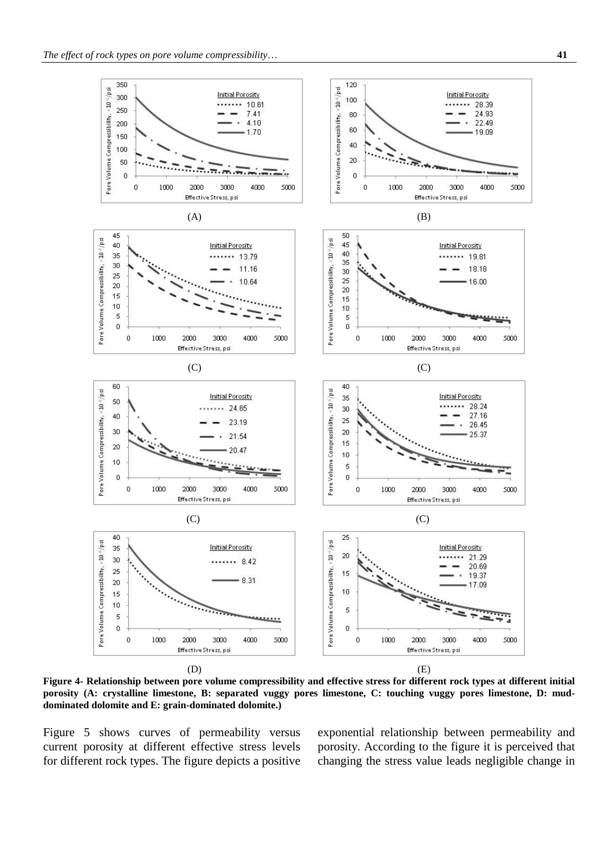

<span id="page-4-0"></span>**Figure 4- Relationship between pore volume compressibility and effective stress for different rock types at different initial porosity (A: crystalline limestone, B: separated vuggy pores limestone, C: touching vuggy pores limestone, D: muddominated dolomite and E: grain-dominated dolomite.)**

[Figure 5](#page-5-0) shows curves of permeability versus current porosity at different effective stress levels for different rock types. The figure depicts a positive exponential relationship between permeability and porosity. According to the figure it is perceived that changing the stress value leads negligible change in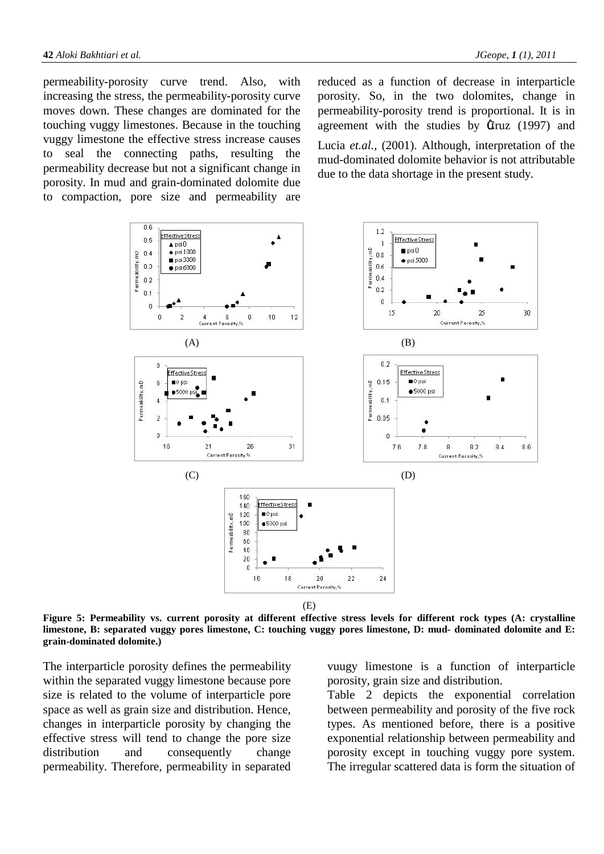permeability-porosity curve trend. Also, with increasing the stress, the permeability-porosity curve moves down. These changes are dominated for the touching vuggy limestones. Because in the touching vuggy limestone the effective stress increase causes to seal the connecting paths, resulting the permeability decrease but not a significant change in porosity. In mud and grain-dominated dolomite due to compaction, pore size and permeability are

reduced as a function of decrease in interparticle porosity. So, in the two dolomites, change in permeability-porosity trend is proportional. It is in agreement with the studies by  $\mathbf{E}$ ruz (1997) and Lucia *et.al.,* (2001). Although, interpretation of the mud-dominated dolomite behavior is not attributable due to the data shortage in the present study.



<span id="page-5-0"></span>**Figure 5: Permeability vs. current porosity at different effective stress levels for different rock types (A: crystalline limestone, B: separated vuggy pores limestone, C: touching vuggy pores limestone, D: mud- dominated dolomite and E: grain-dominated dolomite.)**

The interparticle porosity defines the permeability within the separated vuggy limestone because pore size is related to the volume of interparticle pore space as well as grain size and distribution. Hence, changes in interparticle porosity by changing the effective stress will tend to change the pore size distribution and consequently change permeability. Therefore, permeability in separated vuugy limestone is a function of interparticle porosity, grain size and distribution.

[Table 2](#page-6-0) depicts the exponential correlation between permeability and porosity of the five rock types. As mentioned before, there is a positive exponential relationship between permeability and porosity except in touching vuggy pore system. The irregular scattered data is form the situation of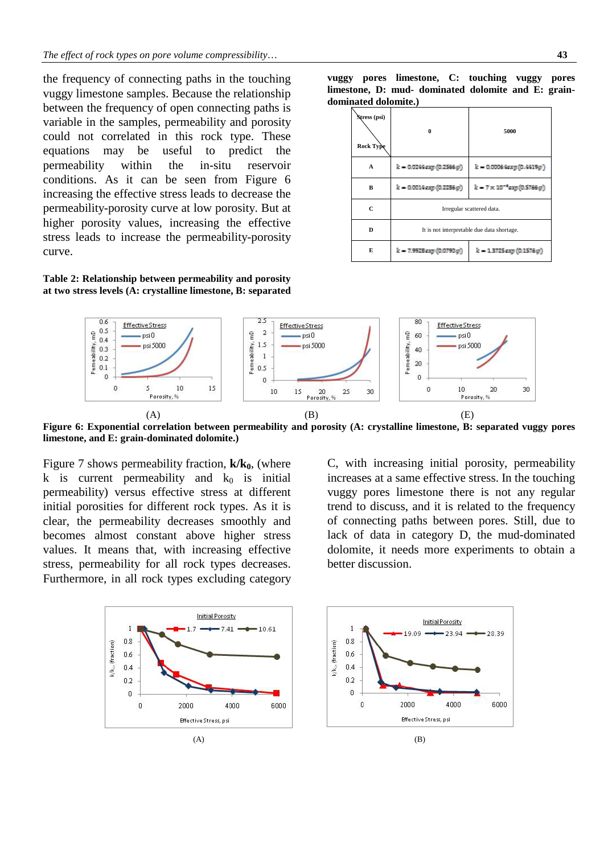the frequency of connecting paths in the touching vuggy limestone samples. Because the relationship between the frequency of open connecting paths is variable in the samples, permeability and porosity could not correlated in this rock type. These equations may be useful to predict the permeability within the in-situ reservoir conditions. As it can be seen from [Figure 6](#page-6-1) increasing the effective stress leads to decrease the permeability-porosity curve at low porosity. But at higher porosity values, increasing the effective stress leads to increase the permeability-porosity curve.

<span id="page-6-0"></span>**Table 2: Relationship between permeability and porosity at two stress levels (A: crystalline limestone, B: separated** 

**vuggy pores limestone, C: touching vuggy pores limestone, D: mud- dominated dolomite and E: graindominated dolomite.)**

| Stress (psi)<br>Rock Type | 0                                          | 5000                          |  |  |  |
|---------------------------|--------------------------------------------|-------------------------------|--|--|--|
| A                         | $k = 0.0244$ exp $(0.2566 \varphi)$        | $k = 0.00064$ erp $(0.4419p)$ |  |  |  |
| B                         | k – 0.0014exp (0.2296c))                   | k = 7 x 10 "exp(0.5766.0))    |  |  |  |
| C                         | Irregular scattered data.                  |                               |  |  |  |
| D                         | It is not interpretable due data shortage. |                               |  |  |  |
| E                         | d = 7.9923exp (0.0790.0))                  | k = 1.3725exp(0.15760))       |  |  |  |



<span id="page-6-1"></span>**Figure 6: Exponential correlation between permeability and porosity (A: crystalline limestone, B: separated vuggy pores limestone, and E: grain-dominated dolomite.)**

[Figure 7](#page-7-0) shows permeability fraction,  $k/k_0$ , (where k is current permeability and  $k_0$  is initial permeability) versus effective stress at different initial porosities for different rock types. As it is clear, the permeability decreases smoothly and becomes almost constant above higher stress values. It means that, with increasing effective stress, permeability for all rock types decreases. Furthermore, in all rock types excluding category C, with increasing initial porosity, permeability increases at a same effective stress. In the touching vuggy pores limestone there is not any regular trend to discuss, and it is related to the frequency of connecting paths between pores. Still, due to lack of data in category D, the mud-dominated dolomite, it needs more experiments to obtain a better discussion.

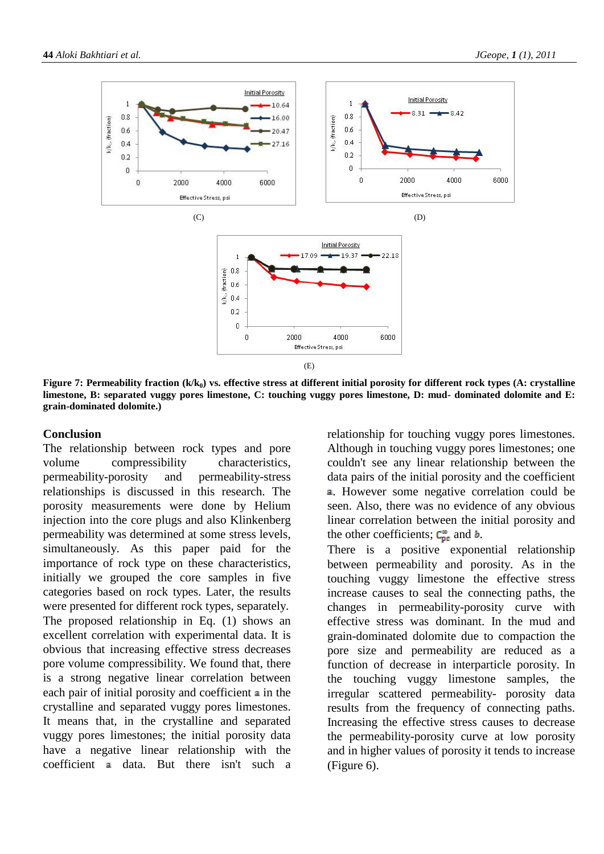

<span id="page-7-0"></span>Figure 7: Permeability fraction (k/k<sub>0</sub>) vs. effective stress at different initial porosity for different rock types (A: crystalline **limestone, B: separated vuggy pores limestone, C: touching vuggy pores limestone, D: mud- dominated dolomite and E: grain-dominated dolomite.)**

#### **Conclusion**

The relationship between rock types and pore volume compressibility characteristics, permeability-porosity and permeability-stress relationships is discussed in this research. The porosity measurements were done by Helium injection into the core plugs and also Klinkenberg permeability was determined at some stress levels, simultaneously. As this paper paid for the importance of rock type on these characteristics, initially we grouped the core samples in five categories based on rock types. Later, the results were presented for different rock types, separately. The proposed relationship in Eq. [\(1\)](#page-1-0) shows an excellent correlation with experimental data. It is obvious that increasing effective stress decreases pore volume compressibility. We found that, there is a strong negative linear correlation between each pair of initial porosity and coefficient  $\equiv$  in the crystalline and separated vuggy pores limestones. It means that, in the crystalline and separated vuggy pores limestones; the initial porosity data have a negative linear relationship with the  $coefficient$  a data. But there isn't such a relationship for touching vuggy pores limestones. Although in touching vuggy pores limestones; one couldn't see any linear relationship between the data pairs of the initial porosity and the coefficient . However some negative correlation could be seen. Also, there was no evidence of any obvious linear correlation between the initial porosity and the other coefficients;  $\mathbf{C}_{\text{pe}}^{\text{m}}$  and **b**.

There is a positive exponential relationship between permeability and porosity. As in the touching vuggy limestone the effective stress increase causes to seal the connecting paths, the changes in permeability-porosity curve with effective stress was dominant. In the mud and grain-dominated dolomite due to compaction the pore size and permeability are reduced as a function of decrease in interparticle porosity. In the touching vuggy limestone samples, the irregular scattered permeability- porosity data results from the frequency of connecting paths. Increasing the effective stress causes to decrease the permeability-porosity curve at low porosity and in higher values of porosity it tends to increase [\(Figure 6\)](#page-6-1).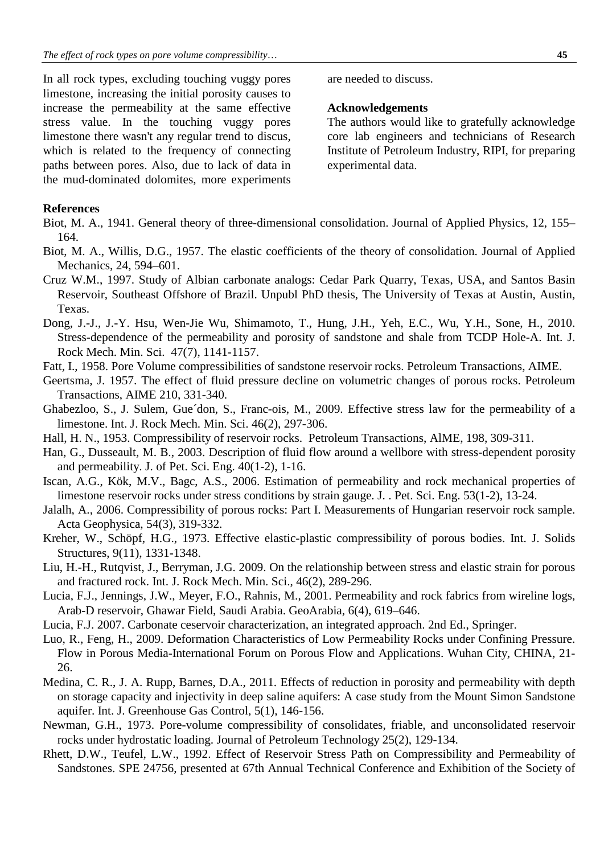In all rock types, excluding touching vuggy pores limestone, increasing the initial porosity causes to increase the permeability at the same effective stress value. In the touching vuggy pores limestone there wasn't any regular trend to discus, which is related to the frequency of connecting paths between pores. Also, due to lack of data in the mud-dominated dolomites, more experiments are needed to discuss.

## **Acknowledgements**

The authors would like to gratefully acknowledge core lab engineers and technicians of Research Institute of Petroleum Industry, RIPI, for preparing experimental data.

# **References**

- Biot, M. A., 1941. General theory of three-dimensional consolidation. Journal of Applied Physics, 12, 155– 164.
- Biot, M. A., Willis, D.G., 1957. The elastic coefficients of the theory of consolidation. Journal of Applied Mechanics, 24, 594–601.
- Cruz W.M., 1997. Study of Albian carbonate analogs: Cedar Park Quarry, Texas, USA, and Santos Basin Reservoir, Southeast Offshore of Brazil. Unpubl PhD thesis, The University of Texas at Austin, Austin, Texas.
- Dong, J.-J., J.-Y. Hsu, Wen-Jie Wu, Shimamoto, T., Hung, J.H., Yeh, E.C., Wu, Y.H., Sone, H., 2010. Stress-dependence of the permeability and porosity of sandstone and shale from TCDP Hole-A. Int. J. Rock Mech. Min. Sci. 47(7), 1141-1157.
- Fatt, I., 1958. Pore Volume compressibilities of sandstone reservoir rocks. Petroleum Transactions, AIME.
- Geertsma, J. 1957. The effect of fluid pressure decline on volumetric changes of porous rocks. Petroleum Transactions, AIME 210, 331-340.
- Ghabezloo, S., J. Sulem, Gue´don, S., Franc-ois, M., 2009. Effective stress law for the permeability of a limestone. Int. J. Rock Mech. Min. Sci. 46(2), 297-306.
- Hall, H. N., 1953. Compressibility of reservoir rocks. Petroleum Transactions, AlME, 198, 309-311.
- Han, G., Dusseault, M. B., 2003. Description of fluid flow around a wellbore with stress-dependent porosity and permeability. J. of Pet. Sci. Eng. 40(1-2), 1-16.
- Iscan, A.G., Kök, M.V., Bagc, A.S., 2006. Estimation of permeability and rock mechanical properties of limestone reservoir rocks under stress conditions by strain gauge. J. . Pet. Sci. Eng. 53(1-2), 13-24.
- Jalalh, A., 2006. Compressibility of porous rocks: Part I. Measurements of Hungarian reservoir rock sample. Acta Geophysica, 54(3), 319-332.
- Kreher, W., Schöpf, H.G., 1973. Effective elastic-plastic compressibility of porous bodies. Int. J. Solids Structures, 9(11), 1331-1348.
- Liu, H.-H., Rutqvist, J., Berryman, J.G. 2009. On the relationship between stress and elastic strain for porous and fractured rock. Int. J. Rock Mech. Min. Sci., 46(2), 289-296.
- Lucia, F.J., Jennings, J.W., Meyer, F.O., Rahnis, M., 2001. Permeability and rock fabrics from wireline logs, Arab-D reservoir, Ghawar Field, Saudi Arabia. GeoArabia, 6(4), 619–646.
- Lucia, F.J. 2007. Carbonate ceservoir characterization, an integrated approach. 2nd Ed., Springer.
- Luo, R., Feng, H., 2009. Deformation Characteristics of Low Permeability Rocks under Confining Pressure. Flow in Porous Media-International Forum on Porous Flow and Applications. Wuhan City, CHINA, 21- 26.
- Medina, C. R., J. A. Rupp, Barnes, D.A., 2011. Effects of reduction in porosity and permeability with depth on storage capacity and injectivity in deep saline aquifers: A case study from the Mount Simon Sandstone aquifer. Int. J. Greenhouse Gas Control, 5(1), 146-156.
- Newman, G.H., 1973. Pore-volume compressibility of consolidates, friable, and unconsolidated reservoir rocks under hydrostatic loading. Journal of Petroleum Technology 25(2), 129-134.
- Rhett, D.W., Teufel, L.W., 1992. Effect of Reservoir Stress Path on Compressibility and Permeability of Sandstones. SPE 24756, presented at 67th Annual Technical Conference and Exhibition of the Society of